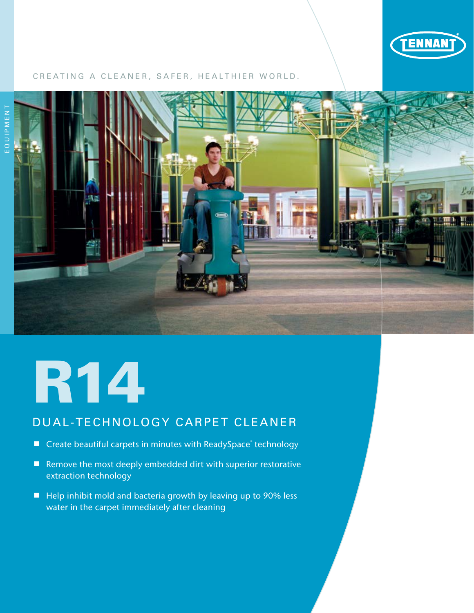

## CREATING A CLEANER, SAFER, HEALTHIER WORLD.



# R14

## DUAL-TECHNOLOGY CARPET CLEANER

- Create beautiful carpets in minutes with ReadySpace® technology
- Remove the most deeply embedded dirt with superior restorative extraction technology
- $\blacksquare$  Help inhibit mold and bacteria growth by leaving up to 90% less water in the carpet immediately after cleaning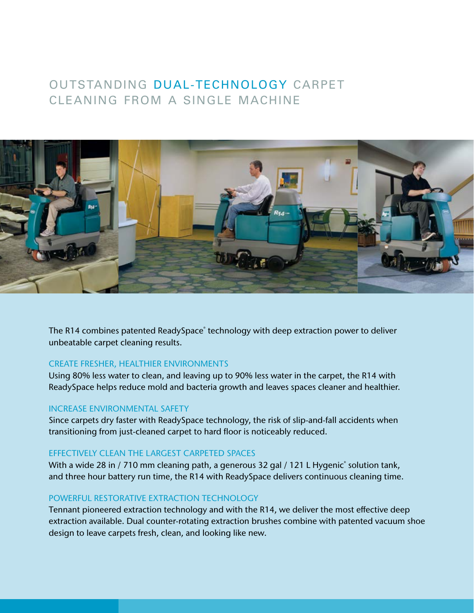## OUTSTANDING DUAL-TECHNOLOGY CARPET CLEANING FROM A SINGLE MACHINE



The R14 combines patented ReadySpace<sup>®</sup> technology with deep extraction power to deliver unbeatable carpet cleaning results.

## CREATE FRESHER, HEALTHIER ENVIRONMENTS

Using 80% less water to clean, and leaving up to 90% less water in the carpet, the R14 with ReadySpace helps reduce mold and bacteria growth and leaves spaces cleaner and healthier.

## INCREASE ENVIRONMENTAL SAFETY

Since carpets dry faster with ReadySpace technology, the risk of slip-and-fall accidents when transitioning from just-cleaned carpet to hard floor is noticeably reduced.

## EFFECTIVELY CLEAN THE LARGEST CARPETED SPACES

With a wide 28 in / 710 mm cleaning path, a generous 32 gal / 121 L Hygenic $\degree$  solution tank, and three hour battery run time, the R14 with ReadySpace delivers continuous cleaning time.

## POWERFUL RESTORATIVE EXTRACTION TECHNOLOGY

Tennant pioneered extraction technology and with the R14, we deliver the most effective deep extraction available. Dual counter-rotating extraction brushes combine with patented vacuum shoe design to leave carpets fresh, clean, and looking like new.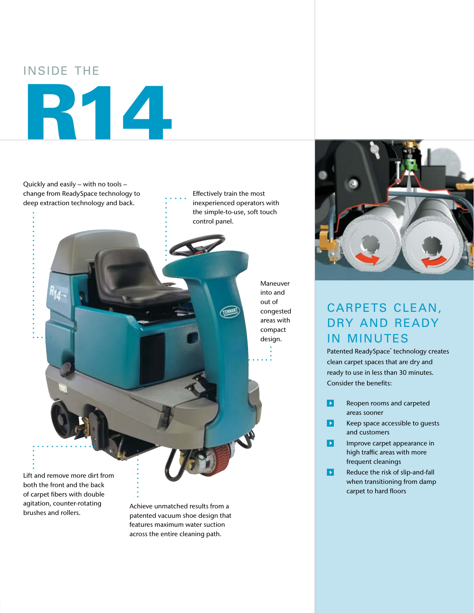## INSIDE THE R14

Quickly and easily – with no tools – change from ReadySpace technology to deep extraction technology and back.

Effectively train the most inexperienced operators with the simple-to-use, soft touch control panel.

TEXAM!

Maneuver into and out of congested areas with compact design.

Lift and remove more dirt from both the front and the back of carpet fibers with double agitation, counter-rotating brushes and rollers.

Achieve unmatched results from a patented vacuum shoe design that features maximum water suction across the entire cleaning path.



## CARPETS CLEAN, DRY AND READY IN MINUTES

Patented ReadySpace® technology creates clean carpet spaces that are dry and ready to use in less than 30 minutes. Consider the benefits:

- $\mathbf{E}$ Reopen rooms and carpeted areas sooner
- $\overline{\phantom{a}}$ Keep space accessible to guests and customers
- $\blacksquare$ Improve carpet appearance in high traffic areas with more frequent cleanings
- $\blacksquare$ Reduce the risk of slip-and-fall when transitioning from damp carpet to hard floors